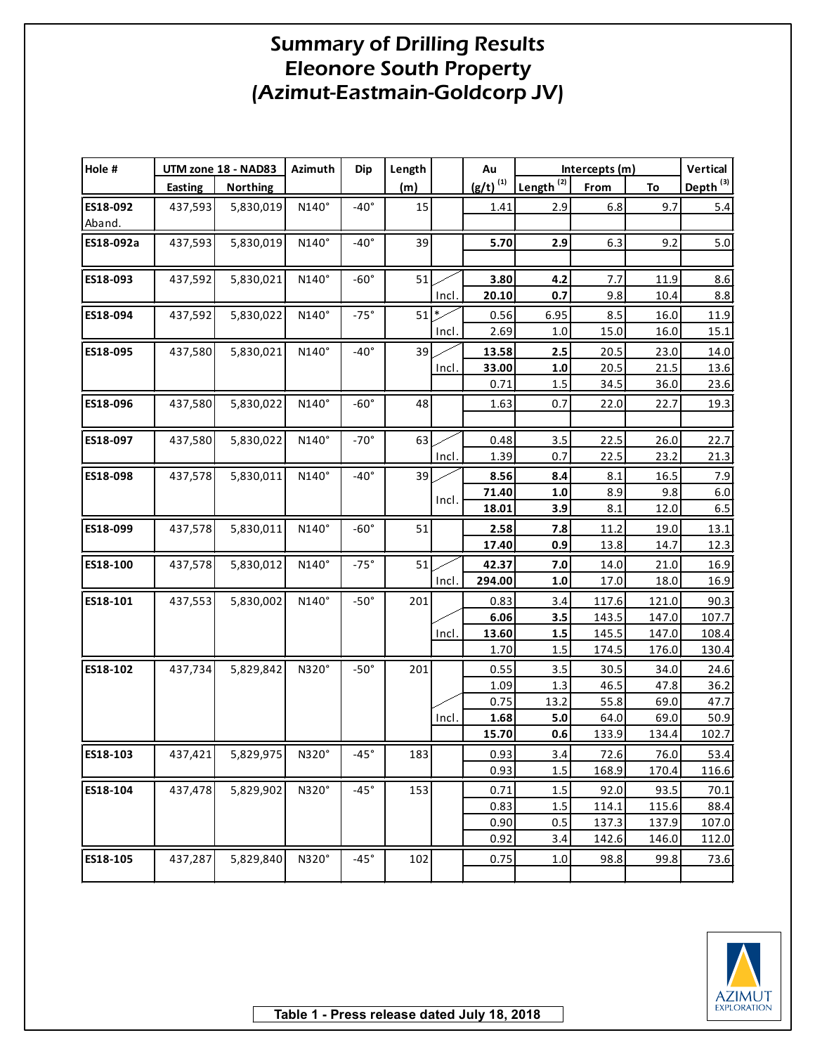| Hole #    |                | UTM zone 18 - NAD83 | Azimuth      | <b>Dip</b>    | Length          |       | Au            | Intercepts (m)        |       |       | Vertical             |
|-----------|----------------|---------------------|--------------|---------------|-----------------|-------|---------------|-----------------------|-------|-------|----------------------|
|           | <b>Easting</b> | <b>Northing</b>     |              |               | (m)             |       | $(g/t)^{(1)}$ | Length <sup>(2)</sup> | From  | To    | Depth <sup>(3)</sup> |
| ES18-092  | 437,593        | 5,830,019           | N140°        | $-40^\circ$   | 15              |       | 1.41          | 2.9                   | 6.8   | 9.7   | 5.4                  |
| Aband.    |                |                     |              |               |                 |       |               |                       |       |       |                      |
| ES18-092a | 437,593        | 5,830,019           | N140°        | $-40^{\circ}$ | 39              |       | 5.70          | 2.9                   | 6.3   | 9.2   | 5.0                  |
|           |                |                     |              |               |                 |       |               |                       |       |       |                      |
| ES18-093  | 437,592        | 5,830,021           | N140°        | $-60^\circ$   | 51              |       | 3.80          | 4.2                   | 7.7   | 11.9  | 8.6                  |
|           |                |                     |              |               |                 | Incl. | 20.10         | 0.7                   | 9.8   | 10.4  | 8.8                  |
| ES18-094  | 437,592        | 5,830,022           | $N140^\circ$ | $-75^\circ$   | $51\frac{1}{2}$ |       | 0.56          | 6.95                  | 8.5   | 16.0  | 11.9                 |
|           |                |                     |              |               |                 | Incl. | 2.69          | $1.0$                 | 15.0  | 16.0  | 15.1                 |
| ES18-095  | 437,580        | 5,830,021           | $N140^\circ$ | $-40^{\circ}$ | 39              |       | 13.58         | 2.5                   | 20.5  | 23.0  | 14.0                 |
|           |                |                     |              |               |                 | Incl. | 33.00         | 1.0                   | 20.5  | 21.5  | 13.6                 |
|           |                |                     |              |               |                 |       | 0.71          | 1.5                   | 34.5  | 36.0  | 23.6                 |
| ES18-096  | 437,580        | 5,830,022           | N140°        | $-60^\circ$   | 48              |       | 1.63          | 0.7                   | 22.0  | 22.7  | 19.3                 |
|           |                |                     |              |               |                 |       |               |                       |       |       |                      |
| ES18-097  | 437,580        | 5,830,022           | N140°        | $-70^\circ$   | 63              |       | 0.48          | 3.5                   | 22.5  | 26.0  | 22.7                 |
|           |                |                     |              |               |                 | Incl. | 1.39          | 0.7                   | 22.5  | 23.2  | 21.3                 |
| ES18-098  | 437,578        | 5,830,011           | $N140^\circ$ | $-40^{\circ}$ | 39              |       | 8.56          | 8.4                   | 8.1   | 16.5  | 7.9                  |
|           |                |                     |              |               |                 |       | 71.40         | 1.0                   | 8.9   | 9.8   | 6.0                  |
|           |                |                     |              |               |                 | Incl. | 18.01         | 3.9                   | 8.1   | 12.0  | $6.5\,$              |
| ES18-099  | 437,578        | 5,830,011           | $N140^\circ$ | $-60^\circ$   | 51              |       | 2.58          | 7.8                   | 11.2  | 19.0  | 13.1                 |
|           |                |                     |              |               |                 |       | 17.40         | 0.9                   | 13.8  | 14.7  | 12.3                 |
| ES18-100  | 437,578        | 5,830,012           | $N140^\circ$ | $-75^\circ$   | 51              |       | 42.37         | 7.0                   | 14.0  | 21.0  | 16.9                 |
|           |                |                     |              |               |                 | Incl. | 294.00        | $1.0\,$               | 17.0  | 18.0  | 16.9                 |
| ES18-101  | 437,553        | 5,830,002           | N140°        | $-50^{\circ}$ | 201             |       | 0.83          | 3.4                   | 117.6 | 121.0 | 90.3                 |
|           |                |                     |              |               |                 |       | 6.06          | 3.5                   | 143.5 | 147.0 | 107.7                |
|           |                |                     |              |               |                 | Incl. | 13.60         | 1.5                   | 145.5 | 147.0 | 108.4                |
|           |                |                     |              |               |                 |       | 1.70          | 1.5                   | 174.5 | 176.0 | 130.4                |
| ES18-102  | 437,734        | 5,829,842           | N320°        | $-50^\circ$   | 201             |       | 0.55          | 3.5                   | 30.5  | 34.0  | 24.6                 |
|           |                |                     |              |               |                 |       | 1.09          | 1.3                   | 46.5  | 47.8  | 36.2                 |
|           |                |                     |              |               |                 |       | 0.75          | 13.2                  | 55.8  | 69.0  | 47.7                 |
|           |                |                     |              |               |                 | Incl. | 1.68          | 5.0                   | 64.0  | 69.0  | 50.9                 |
|           |                |                     |              |               |                 |       | 15.70         | 0.6                   | 133.9 | 134.4 | 102.7                |
| ES18-103  | 437,421        | 5,829,975 N320°     |              | $-45^\circ$   | 183             |       | 0.93          | 3.4                   | 72.6  | 76.0  | 53.4                 |
|           |                |                     |              |               |                 |       | 0.93          | 1.5                   | 168.9 | 170.4 | 116.6                |
| ES18-104  | 437,478        | 5,829,902           | N320°        | $-45^\circ$   | 153             |       | 0.71          | 1.5                   | 92.0  | 93.5  | 70.1                 |
|           |                |                     |              |               |                 |       | 0.83          | $1.5\,$               | 114.1 | 115.6 | 88.4                 |
|           |                |                     |              |               |                 |       | 0.90          | 0.5                   | 137.3 | 137.9 | 107.0                |
|           |                |                     |              |               |                 |       | 0.92          | 3.4                   | 142.6 | 146.0 | 112.0                |
| ES18-105  | 437,287        | 5,829,840           | N320°        | $-45^\circ$   | 102             |       | 0.75          | 1.0                   | 98.8  | 99.8  | 73.6                 |
|           |                |                     |              |               |                 |       |               |                       |       |       |                      |

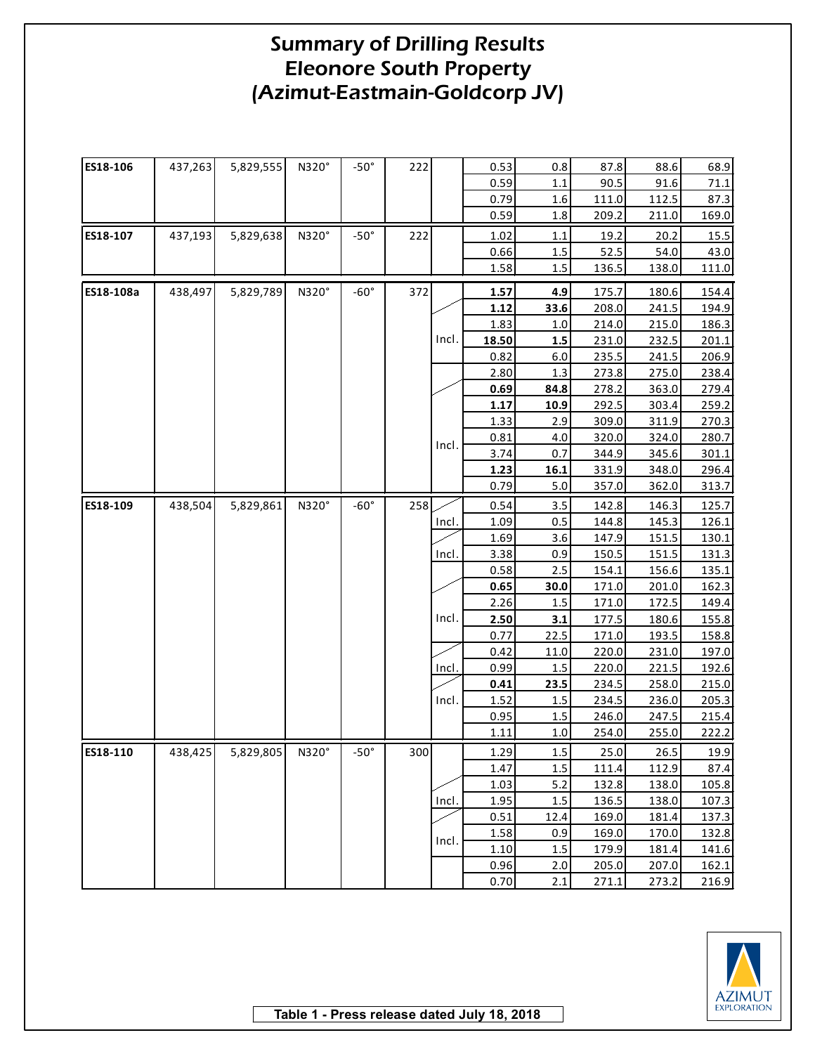| ES18-106  | 437,263 | 5,829,555 | N320°        | $-50^\circ$ | 222 |       | 0.53  | $0.8\,$ | 87.8  | 88.6  | 68.9  |
|-----------|---------|-----------|--------------|-------------|-----|-------|-------|---------|-------|-------|-------|
|           |         |           |              |             |     |       | 0.59  | 1.1     | 90.5  | 91.6  | 71.1  |
|           |         |           |              |             |     |       | 0.79  | 1.6     | 111.0 | 112.5 | 87.3  |
|           |         |           |              |             |     |       | 0.59  | 1.8     | 209.2 | 211.0 | 169.0 |
| ES18-107  | 437,193 | 5,829,638 | N320°        | $-50^\circ$ | 222 |       | 1.02  | 1.1     | 19.2  | 20.2  | 15.5  |
|           |         |           |              |             |     |       | 0.66  | $1.5\,$ | 52.5  | 54.0  | 43.0  |
|           |         |           |              |             |     |       | 1.58  | 1.5     | 136.5 | 138.0 | 111.0 |
| ES18-108a | 438,497 | 5,829,789 | N320°        | $-60^\circ$ | 372 |       | 1.57  | 4.9     | 175.7 | 180.6 | 154.4 |
|           |         |           |              |             |     |       | 1.12  | 33.6    | 208.0 | 241.5 | 194.9 |
|           |         |           |              |             |     |       | 1.83  | 1.0     | 214.0 | 215.0 | 186.3 |
|           |         |           |              |             |     | Incl. | 18.50 | 1.5     | 231.0 | 232.5 | 201.1 |
|           |         |           |              |             |     |       | 0.82  | 6.0     | 235.5 | 241.5 | 206.9 |
|           |         |           |              |             |     |       | 2.80  | 1.3     | 273.8 | 275.0 | 238.4 |
|           |         |           |              |             |     |       | 0.69  | 84.8    | 278.2 | 363.0 | 279.4 |
|           |         |           |              |             |     |       | 1.17  | 10.9    | 292.5 | 303.4 | 259.2 |
|           |         |           |              |             |     |       | 1.33  | 2.9     | 309.0 | 311.9 | 270.3 |
|           |         |           |              |             |     | Incl. | 0.81  | 4.0     | 320.0 | 324.0 | 280.7 |
|           |         |           |              |             |     |       | 3.74  | 0.7     | 344.9 | 345.6 | 301.1 |
|           |         |           |              |             |     |       | 1.23  | 16.1    | 331.9 | 348.0 | 296.4 |
|           |         |           |              |             |     |       | 0.79  | 5.0     | 357.0 | 362.0 | 313.7 |
| ES18-109  | 438,504 | 5,829,861 | N320°        | $-60^\circ$ | 258 |       | 0.54  | 3.5     | 142.8 | 146.3 | 125.7 |
|           |         |           |              |             |     | Incl. | 1.09  | 0.5     | 144.8 | 145.3 | 126.1 |
|           |         |           |              |             |     |       | 1.69  | 3.6     | 147.9 | 151.5 | 130.1 |
|           |         |           |              |             |     | Incl. | 3.38  | 0.9     | 150.5 | 151.5 | 131.3 |
|           |         |           |              |             |     |       | 0.58  | 2.5     | 154.1 | 156.6 | 135.1 |
|           |         |           |              |             |     |       | 0.65  | 30.0    | 171.0 | 201.0 | 162.3 |
|           |         |           |              |             |     |       | 2.26  | 1.5     | 171.0 | 172.5 | 149.4 |
|           |         |           |              |             |     | Incl. | 2.50  | 3.1     | 177.5 | 180.6 | 155.8 |
|           |         |           |              |             |     |       | 0.77  | 22.5    | 171.0 | 193.5 | 158.8 |
|           |         |           |              |             |     |       | 0.42  | 11.0    | 220.0 | 231.0 | 197.0 |
|           |         |           |              |             |     | Incl. | 0.99  | 1.5     | 220.0 | 221.5 | 192.6 |
|           |         |           |              |             |     |       | 0.41  | 23.5    | 234.5 | 258.0 | 215.0 |
|           |         |           |              |             |     | Incl. | 1.52  | 1.5     | 234.5 | 236.0 | 205.3 |
|           |         |           |              |             |     |       | 0.95  | 1.5     | 246.0 | 247.5 | 215.4 |
|           |         |           |              |             |     |       | 1.11  | 1.0     | 254.0 | 255.0 | 222.2 |
| ES18-110  | 438,425 | 5,829,805 | $N320^\circ$ | $-50^\circ$ | 300 |       | 1.29  | 1.5     | 25.0  | 26.5  | 19.9  |
|           |         |           |              |             |     |       | 1.47  | 1.5     | 111.4 | 112.9 | 87.4  |
|           |         |           |              |             |     |       | 1.03  | 5.2     | 132.8 | 138.0 | 105.8 |
|           |         |           |              |             |     | Incl. | 1.95  | 1.5     | 136.5 | 138.0 | 107.3 |
|           |         |           |              |             |     |       | 0.51  | 12.4    | 169.0 | 181.4 | 137.3 |
|           |         |           |              |             |     | Incl. | 1.58  | 0.9     | 169.0 | 170.0 | 132.8 |
|           |         |           |              |             |     |       | 1.10  | 1.5     | 179.9 | 181.4 | 141.6 |
|           |         |           |              |             |     |       | 0.96  | 2.0     | 205.0 | 207.0 | 162.1 |
|           |         |           |              |             |     |       | 0.70  | 2.1     | 271.1 | 273.2 | 216.9 |

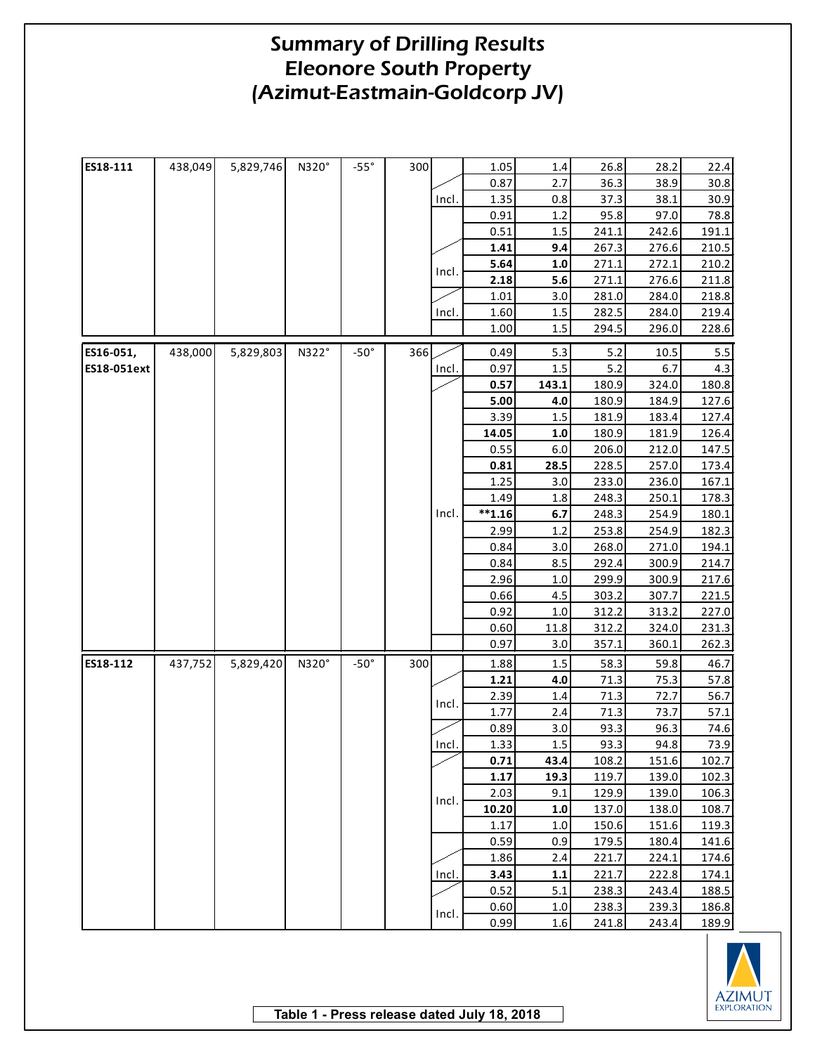| ES18-111    | 438,049 | 5,829,746 | N320° | $-55^\circ$ | 300 |       | 1.05      | $1.4\,$    | 26.8       | 28.2  | 22.4  |
|-------------|---------|-----------|-------|-------------|-----|-------|-----------|------------|------------|-------|-------|
|             |         |           |       |             |     |       | 0.87      | 2.7        | 36.3       | 38.9  | 30.8  |
|             |         |           |       |             |     | Incl. | 1.35      | 0.8        | 37.3       | 38.1  | 30.9  |
|             |         |           |       |             |     |       | 0.91      | 1.2        | 95.8       | 97.0  | 78.8  |
|             |         |           |       |             |     |       | 0.51      | 1.5        | 241.1      | 242.6 | 191.1 |
|             |         |           |       |             |     |       | 1.41      | 9.4        | 267.3      | 276.6 | 210.5 |
|             |         |           |       |             |     | Incl. | 5.64      | 1.0        | 271.1      | 272.1 | 210.2 |
|             |         |           |       |             |     |       | 2.18      | 5.6        | 271.1      | 276.6 | 211.8 |
|             |         |           |       |             |     |       | 1.01      | 3.0        | 281.0      | 284.0 | 218.8 |
|             |         |           |       |             |     | Incl. | 1.60      | $1.5\,$    | 282.5      | 284.0 | 219.4 |
|             |         |           |       |             |     |       | 1.00      | $1.5\,$    | 294.5      | 296.0 | 228.6 |
|             |         |           |       |             |     |       |           |            |            |       |       |
| ES16-051,   | 438,000 | 5,829,803 | N322° | $-50^\circ$ | 366 |       | 0.49      | 5.3<br>1.5 | 5.2<br>5.2 | 10.5  | 5.5   |
| ES18-051ext |         |           |       |             |     | Incl. | 0.97      |            |            | 6.7   | 4.3   |
|             |         |           |       |             |     |       | 0.57      | 143.1      | 180.9      | 324.0 | 180.8 |
|             |         |           |       |             |     |       | 5.00      | 4.0        | 180.9      | 184.9 | 127.6 |
|             |         |           |       |             |     |       | 3.39      | $1.5\,$    | 181.9      | 183.4 | 127.4 |
|             |         |           |       |             |     |       | 14.05     | $1.0$      | 180.9      | 181.9 | 126.4 |
|             |         |           |       |             |     |       | 0.55      | 6.0        | 206.0      | 212.0 | 147.5 |
|             |         |           |       |             |     |       | 0.81      | 28.5       | 228.5      | 257.0 | 173.4 |
|             |         |           |       |             |     |       | 1.25      | 3.0        | 233.0      | 236.0 | 167.1 |
|             |         |           |       |             |     |       | 1.49      | 1.8        | 248.3      | 250.1 | 178.3 |
|             |         |           |       |             |     | Incl. | $***1.16$ | 6.7        | 248.3      | 254.9 | 180.1 |
|             |         |           |       |             |     |       | 2.99      | 1.2        | 253.8      | 254.9 | 182.3 |
|             |         |           |       |             |     |       | 0.84      | 3.0        | 268.0      | 271.0 | 194.1 |
|             |         |           |       |             |     |       | 0.84      | 8.5        | 292.4      | 300.9 | 214.7 |
|             |         |           |       |             |     |       | 2.96      | 1.0        | 299.9      | 300.9 | 217.6 |
|             |         |           |       |             |     |       | 0.66      | 4.5        | 303.2      | 307.7 | 221.5 |
|             |         |           |       |             |     |       | 0.92      | 1.0        | 312.2      | 313.2 | 227.0 |
|             |         |           |       |             |     |       | 0.60      | 11.8       | 312.2      | 324.0 | 231.3 |
|             |         |           |       |             |     |       | 0.97      | 3.0        | 357.1      | 360.1 | 262.3 |
| ES18-112    | 437,752 | 5,829,420 | N320° | $-50^\circ$ | 300 |       | 1.88      | $1.5\,$    | 58.3       | 59.8  | 46.7  |
|             |         |           |       |             |     |       | 1.21      | 4.0        | 71.3       | 75.3  | 57.8  |
|             |         |           |       |             |     |       | 2.39      | 1.4        | 71.3       | 72.7  | 56.7  |
|             |         |           |       |             |     | Incl. | 1.77      | 2.4        | 71.3       | 73.7  | 57.1  |
|             |         |           |       |             |     |       | 0.89      | 3.0        | 93.3       | 96.3  | 74.6  |
|             |         |           |       |             |     | Incl. | 1.33      | 1.5        | 93.3       | 94.8  | 73.9  |
|             |         |           |       |             |     |       | 0.71      | 43.4       | 108.2      | 151.6 | 102.7 |
|             |         |           |       |             |     |       | 1.17      | 19.3       | 119.7      | 139.0 | 102.3 |
|             |         |           |       |             |     |       | 2.03      | 9.1        | 129.9      | 139.0 | 106.3 |
|             |         |           |       |             |     | Incl. | 10.20     | 1.0        | 137.0      | 138.0 | 108.7 |
|             |         |           |       |             |     |       | 1.17      | 1.0        | 150.6      | 151.6 | 119.3 |
|             |         |           |       |             |     |       | 0.59      | 0.9        | 179.5      | 180.4 | 141.6 |
|             |         |           |       |             |     |       | 1.86      | 2.4        | 221.7      | 224.1 | 174.6 |
|             |         |           |       |             |     | Incl. | 3.43      | 1.1        | 221.7      | 222.8 | 174.1 |
|             |         |           |       |             |     |       | 0.52      | 5.1        | 238.3      | 243.4 | 188.5 |
|             |         |           |       |             |     |       | 0.60      | 1.0        | 238.3      | 239.3 | 186.8 |
|             |         |           |       |             |     | Incl. | 0.99      | $1.6\,$    | 241.8      | 243.4 | 189.9 |
|             |         |           |       |             |     |       |           |            |            |       |       |

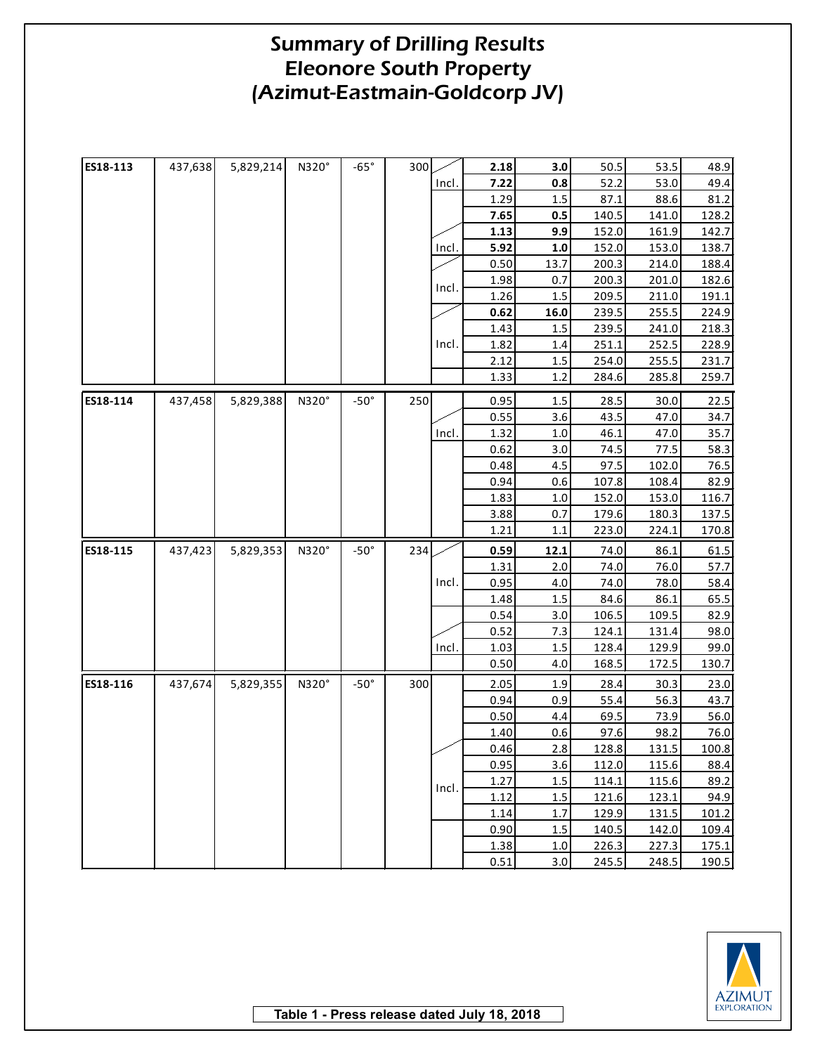| ES18-113 | 437,638 | 5,829,214 | N320° | $-65^\circ$ | 300 |              | 2.18 | 3.0     | 50.5  | 53.5  | 48.9  |
|----------|---------|-----------|-------|-------------|-----|--------------|------|---------|-------|-------|-------|
|          |         |           |       |             |     | Incl.        | 7.22 | 0.8     | 52.2  | 53.0  | 49.4  |
|          |         |           |       |             |     |              | 1.29 | 1.5     | 87.1  | 88.6  | 81.2  |
|          |         |           |       |             |     |              | 7.65 | 0.5     | 140.5 | 141.0 | 128.2 |
|          |         |           |       |             |     |              | 1.13 | 9.9     | 152.0 | 161.9 | 142.7 |
|          |         |           |       |             |     | <u>Incl.</u> | 5.92 | 1.0     | 152.0 | 153.0 | 138.7 |
|          |         |           |       |             |     |              | 0.50 | 13.7    | 200.3 | 214.0 | 188.4 |
|          |         |           |       |             |     | Incl.        | 1.98 | 0.7     | 200.3 | 201.0 | 182.6 |
|          |         |           |       |             |     |              | 1.26 | 1.5     | 209.5 | 211.0 | 191.1 |
|          |         |           |       |             |     |              | 0.62 | 16.0    | 239.5 | 255.5 | 224.9 |
|          |         |           |       |             |     |              | 1.43 | $1.5\,$ | 239.5 | 241.0 | 218.3 |
|          |         |           |       |             |     | Incl.        | 1.82 | 1.4     | 251.1 | 252.5 | 228.9 |
|          |         |           |       |             |     |              | 2.12 | $1.5\,$ | 254.0 | 255.5 | 231.7 |
|          |         |           |       |             |     |              | 1.33 | 1.2     | 284.6 | 285.8 | 259.7 |
| ES18-114 | 437,458 | 5,829,388 | N320° | $-50^\circ$ | 250 |              | 0.95 | $1.5\,$ | 28.5  | 30.0  | 22.5  |
|          |         |           |       |             |     |              | 0.55 | 3.6     | 43.5  | 47.0  | 34.7  |
|          |         |           |       |             |     | Incl.        | 1.32 | 1.0     | 46.1  | 47.0  | 35.7  |
|          |         |           |       |             |     |              | 0.62 | 3.0     | 74.5  | 77.5  | 58.3  |
|          |         |           |       |             |     |              | 0.48 | 4.5     | 97.5  | 102.0 | 76.5  |
|          |         |           |       |             |     |              | 0.94 | 0.6     | 107.8 | 108.4 | 82.9  |
|          |         |           |       |             |     |              | 1.83 | 1.0     | 152.0 | 153.0 | 116.7 |
|          |         |           |       |             |     |              | 3.88 | 0.7     | 179.6 | 180.3 | 137.5 |
|          |         |           |       |             |     |              | 1.21 | 1.1     | 223.0 | 224.1 | 170.8 |
| ES18-115 | 437,423 | 5,829,353 | N320° | $-50^\circ$ | 234 |              | 0.59 | 12.1    | 74.0  | 86.1  | 61.5  |
|          |         |           |       |             |     |              | 1.31 | 2.0     | 74.0  | 76.0  | 57.7  |
|          |         |           |       |             |     | Incl.        | 0.95 | 4.0     | 74.0  | 78.0  | 58.4  |
|          |         |           |       |             |     |              | 1.48 | 1.5     | 84.6  | 86.1  | 65.5  |
|          |         |           |       |             |     |              | 0.54 | 3.0     | 106.5 | 109.5 | 82.9  |
|          |         |           |       |             |     |              | 0.52 | 7.3     | 124.1 | 131.4 | 98.0  |
|          |         |           |       |             |     | Incl.        | 1.03 | 1.5     | 128.4 | 129.9 | 99.0  |
|          |         |           |       |             |     |              | 0.50 | 4.0     | 168.5 | 172.5 | 130.7 |
| ES18-116 | 437,674 | 5,829,355 | N320° | $-50^\circ$ | 300 |              | 2.05 | 1.9     | 28.4  | 30.3  | 23.0  |
|          |         |           |       |             |     |              | 0.94 | 0.9     | 55.4  | 56.3  | 43.7  |
|          |         |           |       |             |     |              | 0.50 | 4.4     | 69.5  | 73.9  | 56.0  |
|          |         |           |       |             |     |              | 1.40 | 0.6     | 97.6  | 98.2  | 76.0  |
|          |         |           |       |             |     |              | 0.46 | 2.8     | 128.8 | 131.5 | 100.8 |
|          |         |           |       |             |     |              | 0.95 | 3.6     | 112.0 | 115.6 | 88.4  |
|          |         |           |       |             |     |              | 1.27 | 1.5     | 114.1 | 115.6 | 89.2  |
|          |         |           |       |             |     | Incl.        | 1.12 | 1.5     | 121.6 | 123.1 | 94.9  |
|          |         |           |       |             |     |              | 1.14 | 1.7     | 129.9 | 131.5 | 101.2 |
|          |         |           |       |             |     |              | 0.90 | 1.5     | 140.5 | 142.0 | 109.4 |
|          |         |           |       |             |     |              | 1.38 | 1.0     | 226.3 | 227.3 | 175.1 |
|          |         |           |       |             |     |              | 0.51 | 3.0     | 245.5 | 248.5 | 190.5 |